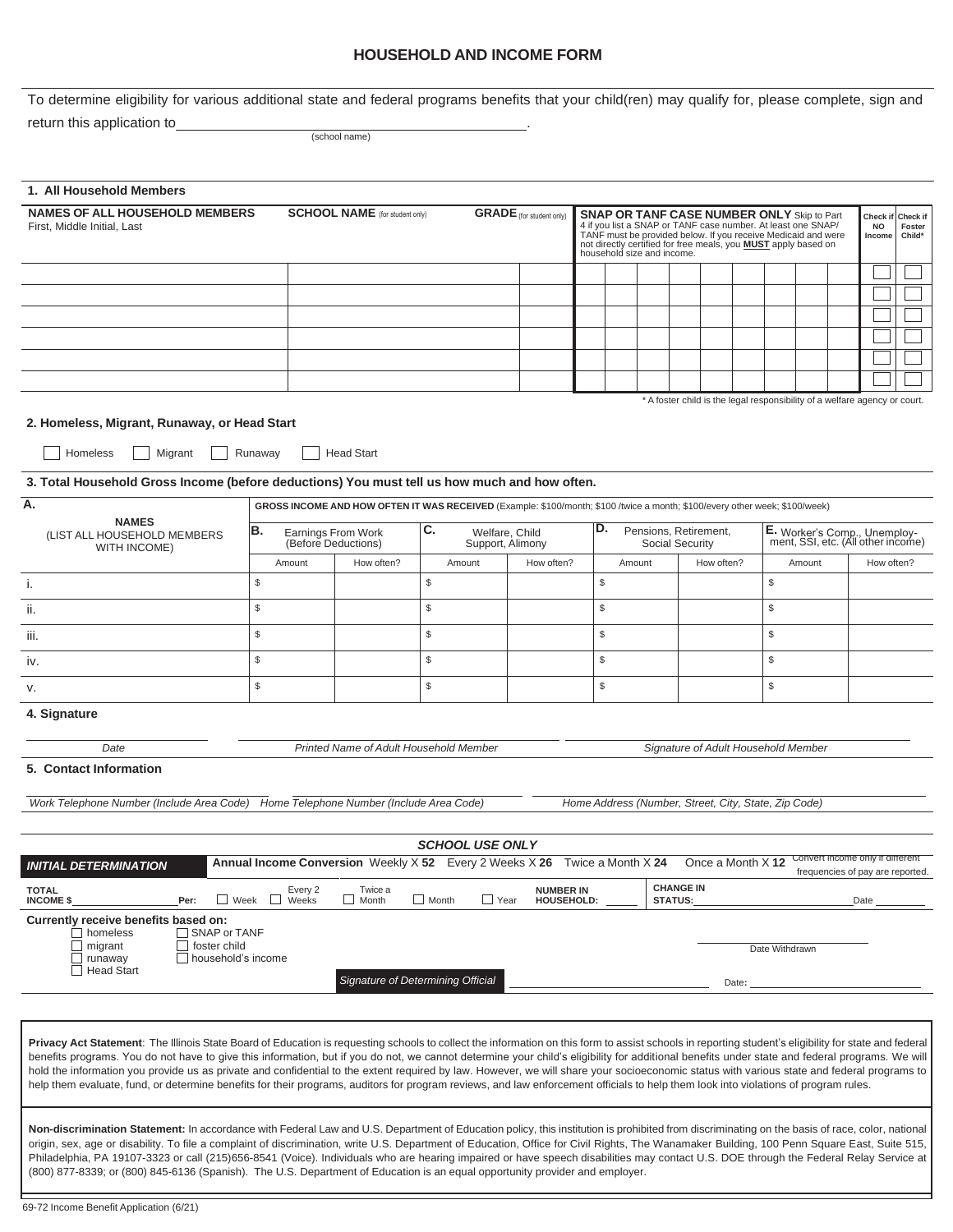# **HOUSEHOLD AND INCOME FORM**

To determine eligibility for various additional state and federal programs benefits that your child(ren) may qualify for, please complete, sign and

return this application to\_

(school name)

| 1. All Household Members                                                                                                                                                                |                                                  |                                                                          |                                                                                                                             |                                 |                                                      |                                                                                                                                                                                                                                                                                    |                                                                            |                                                                    |                |                                  |            |                              |
|-----------------------------------------------------------------------------------------------------------------------------------------------------------------------------------------|--------------------------------------------------|--------------------------------------------------------------------------|-----------------------------------------------------------------------------------------------------------------------------|---------------------------------|------------------------------------------------------|------------------------------------------------------------------------------------------------------------------------------------------------------------------------------------------------------------------------------------------------------------------------------------|----------------------------------------------------------------------------|--------------------------------------------------------------------|----------------|----------------------------------|------------|------------------------------|
| <b>NAMES OF ALL HOUSEHOLD MEMBERS</b><br>First, Middle Initial, Last                                                                                                                    |                                                  | <b>SCHOOL NAME</b> (for student only)<br><b>GRADE</b> (for student only) |                                                                                                                             |                                 |                                                      | <b>SNAP OR TANF CASE NUMBER ONLY Skip to Part</b><br>4 if you list a SNAP or TANF case number. At least one SNAP/<br>TANF must be provided below. If you receive Medicaid and were<br>not directly certified for free meals, you MUST apply based on<br>household size and income. |                                                                            |                                                                    |                |                                  |            | Check if<br>Foster<br>Child* |
|                                                                                                                                                                                         |                                                  |                                                                          |                                                                                                                             |                                 |                                                      |                                                                                                                                                                                                                                                                                    |                                                                            |                                                                    |                |                                  |            |                              |
|                                                                                                                                                                                         |                                                  |                                                                          |                                                                                                                             |                                 |                                                      |                                                                                                                                                                                                                                                                                    |                                                                            |                                                                    |                |                                  |            |                              |
|                                                                                                                                                                                         |                                                  |                                                                          |                                                                                                                             |                                 |                                                      |                                                                                                                                                                                                                                                                                    |                                                                            |                                                                    |                |                                  |            |                              |
|                                                                                                                                                                                         |                                                  |                                                                          |                                                                                                                             |                                 |                                                      |                                                                                                                                                                                                                                                                                    |                                                                            |                                                                    |                |                                  |            |                              |
|                                                                                                                                                                                         |                                                  |                                                                          |                                                                                                                             |                                 |                                                      |                                                                                                                                                                                                                                                                                    |                                                                            |                                                                    |                |                                  |            |                              |
|                                                                                                                                                                                         |                                                  |                                                                          |                                                                                                                             |                                 |                                                      |                                                                                                                                                                                                                                                                                    |                                                                            |                                                                    |                |                                  |            |                              |
| 2. Homeless, Migrant, Runaway, or Head Start<br>Homeless<br>Migrant                                                                                                                     | Runaway                                          | <b>Head Start</b>                                                        |                                                                                                                             |                                 |                                                      |                                                                                                                                                                                                                                                                                    | * A foster child is the legal responsibility of a welfare agency or court. |                                                                    |                |                                  |            |                              |
| 3. Total Household Gross Income (before deductions) You must tell us how much and how often.                                                                                            |                                                  |                                                                          |                                                                                                                             |                                 |                                                      |                                                                                                                                                                                                                                                                                    |                                                                            |                                                                    |                |                                  |            |                              |
| А.<br><b>NAMES</b>                                                                                                                                                                      |                                                  |                                                                          | GROSS INCOME AND HOW OFTEN IT WAS RECEIVED (Example: \$100/month; \$100 /twice a month; \$100/every other week; \$100/week) |                                 |                                                      |                                                                                                                                                                                                                                                                                    |                                                                            |                                                                    |                |                                  |            |                              |
| (LIST ALL HOUSEHOLD MEMBERS<br>WITH INCOME)                                                                                                                                             | ΙB.<br>Earnings From Work<br>(Before Deductions) |                                                                          | С.<br>Welfare, Child<br>Support, Alimony                                                                                    |                                 | D.<br>Pensions, Retirement,<br>Social Security       |                                                                                                                                                                                                                                                                                    |                                                                            | E. Worker's Comp., Unemploy-<br>ment, SSI, etc. (All other income) |                |                                  |            |                              |
|                                                                                                                                                                                         | Amount                                           | How often?                                                               | Amount                                                                                                                      | How often?                      |                                                      | Amount                                                                                                                                                                                                                                                                             | How often?                                                                 |                                                                    |                | Amount                           | How often? |                              |
| i.                                                                                                                                                                                      | \$                                               |                                                                          | \$                                                                                                                          |                                 | \$                                                   |                                                                                                                                                                                                                                                                                    |                                                                            |                                                                    | \$             |                                  |            |                              |
| ii.                                                                                                                                                                                     | \$                                               |                                                                          | \$                                                                                                                          |                                 | $\$$                                                 |                                                                                                                                                                                                                                                                                    |                                                                            |                                                                    | \$             |                                  |            |                              |
| iii.                                                                                                                                                                                    | $$\mathbb{S}$$                                   |                                                                          | \$                                                                                                                          |                                 | \$                                                   |                                                                                                                                                                                                                                                                                    |                                                                            |                                                                    | \$             |                                  |            |                              |
| İV.                                                                                                                                                                                     | \$                                               |                                                                          | \$                                                                                                                          |                                 | $\$$                                                 |                                                                                                                                                                                                                                                                                    |                                                                            |                                                                    | \$             |                                  |            |                              |
| v.                                                                                                                                                                                      | \$                                               |                                                                          | \$                                                                                                                          |                                 | \$                                                   |                                                                                                                                                                                                                                                                                    |                                                                            |                                                                    | \$             |                                  |            |                              |
| 4. Signature                                                                                                                                                                            |                                                  |                                                                          |                                                                                                                             |                                 |                                                      |                                                                                                                                                                                                                                                                                    |                                                                            |                                                                    |                |                                  |            |                              |
| Printed Name of Adult Household Member<br>Date                                                                                                                                          |                                                  |                                                                          |                                                                                                                             |                                 |                                                      | Signature of Adult Household Member                                                                                                                                                                                                                                                |                                                                            |                                                                    |                |                                  |            |                              |
| 5. Contact Information                                                                                                                                                                  |                                                  |                                                                          |                                                                                                                             |                                 |                                                      |                                                                                                                                                                                                                                                                                    |                                                                            |                                                                    |                |                                  |            |                              |
| Work Telephone Number (Include Area Code) Home Telephone Number (Include Area Code)                                                                                                     |                                                  |                                                                          |                                                                                                                             |                                 | Home Address (Number, Street, City, State, Zip Code) |                                                                                                                                                                                                                                                                                    |                                                                            |                                                                    |                |                                  |            |                              |
|                                                                                                                                                                                         |                                                  |                                                                          | <b>SCHOOL USE ONLY</b>                                                                                                      |                                 |                                                      |                                                                                                                                                                                                                                                                                    |                                                                            |                                                                    |                |                                  |            |                              |
| <b>INITIAL DETERMINATION</b>                                                                                                                                                            |                                                  |                                                                          | Annual Income Conversion Weekly X 52 Every 2 Weeks X 26 Twice a Month X 24                                                  |                                 |                                                      |                                                                                                                                                                                                                                                                                    | Once a Month X 12                                                          |                                                                    |                | frequencies of pay are reported. |            |                              |
| <b>TOTAL</b><br>INCOME \$<br>Per:<br>$\Box$ Week                                                                                                                                        | Every 2<br>$\Box$<br>Weeks                       | Twice a<br>$\Box$ Month                                                  | $\Box$ Month<br>$\Box$ Year                                                                                                 | <b>NUMBER IN<br/>HOUSEHOLD:</b> |                                                      |                                                                                                                                                                                                                                                                                    | <b>CHANGE IN</b><br><b>STATUS:</b>                                         |                                                                    |                |                                  | Date       |                              |
| Currently receive benefits based on:<br>$\Box$ homeless<br>$\Box$ SNAP or TANF<br>$\Box$ migrant<br>foster child<br>$\Box$<br>runaway<br>$\Box$ household's income<br>$\Box$ Head Start |                                                  |                                                                          | Signature of Determining Official                                                                                           |                                 |                                                      |                                                                                                                                                                                                                                                                                    |                                                                            | Date:                                                              | Date Withdrawn |                                  |            |                              |

Privacy Act Statement: The Illinois State Board of Education is requesting schools to collect the information on this form to assist schools in reporting student's eligibility for state and federal benefits programs. You do not have to give this information, but if you do not, we cannot determine your child's eligibility for additional benefits under state and federal programs. We will hold the information you provide us as private and confidential to the extent required by law. However, we will share your socioeconomic status with various state and federal programs to help them evaluate, fund, or determine benefits for their programs, auditors for program reviews, and law enforcement officials to help them look into violations of program rules.

Non-discrimination Statement: In accordance with Federal Law and U.S. Department of Education policy, this institution is prohibited from discriminating on the basis of race, color, national origin, sex, age or disability. To file a complaint of discrimination, write U.S. Department of Education, Office for Civil Rights, The Wanamaker Building, 100 Penn Square East, Suite 515, Philadelphia, PA 19107-3323 or call (215)656-8541 (Voice). Individuals who are hearing impaired or have speech disabilities may contact U.S. DOE through the Federal Relay Service at (800) 877-8339; or (800) 845-6136 (Spanish). The U.S. Department of Education is an equal opportunity provider and employer.